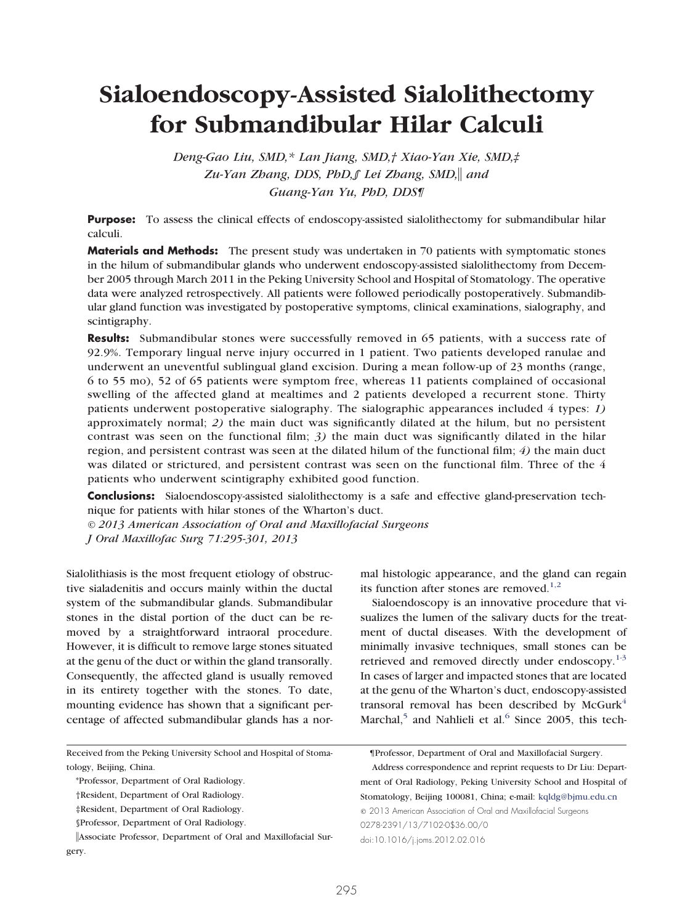# **Sialoendoscopy-Assisted Sialolithectomy for Submandibular Hilar Calculi**

*Deng-Gao Liu, SMD,\* Lan Jiang, SMD,† Xiao-Yan Xie, SMD,‡ Zu-Yan Zhang, DDS, PhD,§ Lei Zhang, SMD, and Guang-Yan Yu, PhD, DDS¶*

**Purpose:** To assess the clinical effects of endoscopy-assisted sialolithectomy for submandibular hilar calculi.

**Materials and Methods:** The present study was undertaken in 70 patients with symptomatic stones in the hilum of submandibular glands who underwent endoscopy-assisted sialolithectomy from December 2005 through March 2011 in the Peking University School and Hospital of Stomatology. The operative data were analyzed retrospectively. All patients were followed periodically postoperatively. Submandibular gland function was investigated by postoperative symptoms, clinical examinations, sialography, and scintigraphy.

**Results:** Submandibular stones were successfully removed in 65 patients, with a success rate of 92.9%. Temporary lingual nerve injury occurred in 1 patient. Two patients developed ranulae and underwent an uneventful sublingual gland excision. During a mean follow-up of 23 months (range, 6 to 55 mo), 52 of 65 patients were symptom free, whereas 11 patients complained of occasional swelling of the affected gland at mealtimes and 2 patients developed a recurrent stone. Thirty patients underwent postoperative sialography. The sialographic appearances included 4 types: *1)* approximately normal; *2)* the main duct was significantly dilated at the hilum, but no persistent contrast was seen on the functional film; *3)* the main duct was significantly dilated in the hilar region, and persistent contrast was seen at the dilated hilum of the functional film; *4)* the main duct was dilated or strictured, and persistent contrast was seen on the functional film. Three of the 4 patients who underwent scintigraphy exhibited good function.

**Conclusions:** Sialoendoscopy-assisted sialolithectomy is a safe and effective gland-preservation technique for patients with hilar stones of the Wharton's duct.

*© 2013 American Association of Oral and Maxillofacial Surgeons J Oral Maxillofac Surg 71:295-301, 2013*

Sialolithiasis is the most frequent etiology of obstructive sialadenitis and occurs mainly within the ductal system of the submandibular glands. Submandibular stones in the distal portion of the duct can be removed by a straightforward intraoral procedure. However, it is difficult to remove large stones situated at the genu of the duct or within the gland transorally. Consequently, the affected gland is usually removed in its entirety together with the stones. To date, mounting evidence has shown that a significant percentage of affected submandibular glands has a nor-

Received from the Peking University School and Hospital of Stomatology, Beijing, China.

mal histologic appearance, and the gland can regain its function after stones are removed.<sup>[1,2](#page-6-0)</sup>

Sialoendoscopy is an innovative procedure that visualizes the lumen of the salivary ducts for the treatment of ductal diseases. With the development of minimally invasive techniques, small stones can be retrieved and removed directly under endoscopy.<sup>[1-3](#page-6-0)</sup> In cases of larger and impacted stones that are located at the genu of the Wharton's duct, endoscopy-assisted transoral removal has been described by  $McGurk<sup>4</sup>$  $McGurk<sup>4</sup>$  $McGurk<sup>4</sup>$ Marchal,<sup>[5](#page-6-2)</sup> and Nahlieli et al.<sup>[6](#page-6-3)</sup> Since 2005, this tech-

Address correspondence and reprint requests to Dr Liu: Department of Oral Radiology, Peking University School and Hospital of Stomatology, Beijing 100081, China; e-mail: [kqldg@bjmu.edu.cn](mailto:kqldg@bjmu.edu.cn) © 2013 American Association of Oral and Maxillofacial Surgeons 0278-2391/13/7102-0\$36.00/0 doi:10.1016/j.joms.2012.02.016

<sup>\*</sup>Professor, Department of Oral Radiology.

<sup>†</sup>Resident, Department of Oral Radiology.

<sup>‡</sup>Resident, Department of Oral Radiology.

<sup>§</sup>Professor, Department of Oral Radiology.

Associate Professor, Department of Oral and Maxillofacial Surgery.

<sup>¶</sup>Professor, Department of Oral and Maxillofacial Surgery.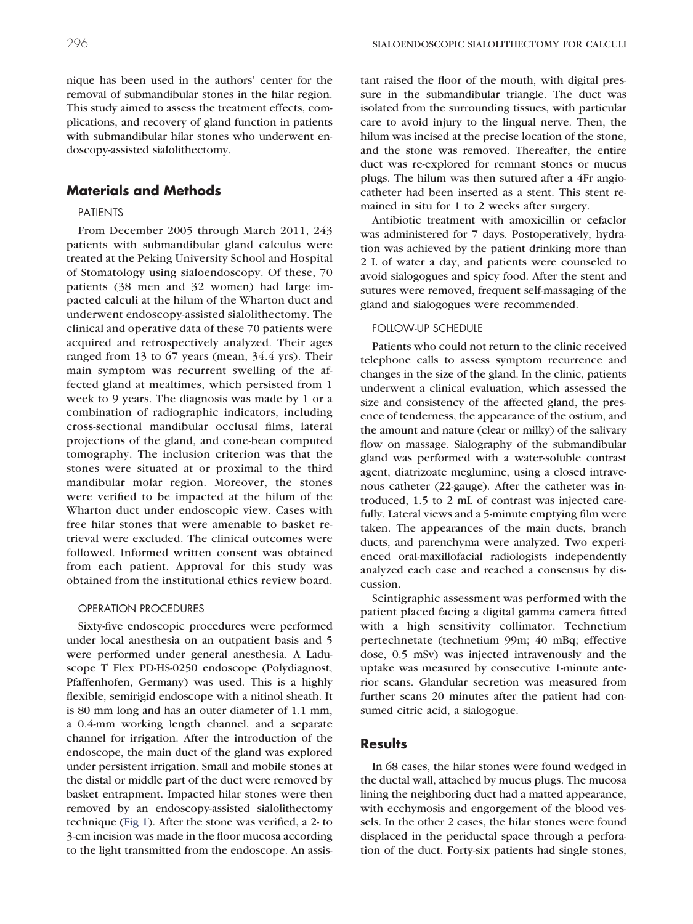nique has been used in the authors' center for the removal of submandibular stones in the hilar region. This study aimed to assess the treatment effects, complications, and recovery of gland function in patients with submandibular hilar stones who underwent endoscopy-assisted sialolithectomy.

# **Materials and Methods**

## PATIENTS

From December 2005 through March 2011, 243 patients with submandibular gland calculus were treated at the Peking University School and Hospital of Stomatology using sialoendoscopy. Of these, 70 patients (38 men and 32 women) had large impacted calculi at the hilum of the Wharton duct and underwent endoscopy-assisted sialolithectomy. The clinical and operative data of these 70 patients were acquired and retrospectively analyzed. Their ages ranged from 13 to 67 years (mean, 34.4 yrs). Their main symptom was recurrent swelling of the affected gland at mealtimes, which persisted from 1 week to 9 years. The diagnosis was made by 1 or a combination of radiographic indicators, including cross-sectional mandibular occlusal films, lateral projections of the gland, and cone-bean computed tomography. The inclusion criterion was that the stones were situated at or proximal to the third mandibular molar region. Moreover, the stones were verified to be impacted at the hilum of the Wharton duct under endoscopic view. Cases with free hilar stones that were amenable to basket retrieval were excluded. The clinical outcomes were followed. Informed written consent was obtained from each patient. Approval for this study was obtained from the institutional ethics review board.

## OPERATION PROCEDURES

Sixty-five endoscopic procedures were performed under local anesthesia on an outpatient basis and 5 were performed under general anesthesia. A Laduscope T Flex PD-HS-0250 endoscope (Polydiagnost, Pfaffenhofen, Germany) was used. This is a highly flexible, semirigid endoscope with a nitinol sheath. It is 80 mm long and has an outer diameter of 1.1 mm, a 0.4-mm working length channel, and a separate channel for irrigation. After the introduction of the endoscope, the main duct of the gland was explored under persistent irrigation. Small and mobile stones at the distal or middle part of the duct were removed by basket entrapment. Impacted hilar stones were then removed by an endoscopy-assisted sialolithectomy technique [\(Fig 1\)](#page-2-0). After the stone was verified, a 2- to 3-cm incision was made in the floor mucosa according to the light transmitted from the endoscope. An assistant raised the floor of the mouth, with digital pressure in the submandibular triangle. The duct was isolated from the surrounding tissues, with particular care to avoid injury to the lingual nerve. Then, the hilum was incised at the precise location of the stone, and the stone was removed. Thereafter, the entire duct was re-explored for remnant stones or mucus plugs. The hilum was then sutured after a 4Fr angiocatheter had been inserted as a stent. This stent remained in situ for 1 to 2 weeks after surgery.

Antibiotic treatment with amoxicillin or cefaclor was administered for 7 days. Postoperatively, hydration was achieved by the patient drinking more than 2 L of water a day, and patients were counseled to avoid sialogogues and spicy food. After the stent and sutures were removed, frequent self-massaging of the gland and sialogogues were recommended.

#### FOLLOW-UP SCHEDULE

Patients who could not return to the clinic received telephone calls to assess symptom recurrence and changes in the size of the gland. In the clinic, patients underwent a clinical evaluation, which assessed the size and consistency of the affected gland, the presence of tenderness, the appearance of the ostium, and the amount and nature (clear or milky) of the salivary flow on massage. Sialography of the submandibular gland was performed with a water-soluble contrast agent, diatrizoate meglumine, using a closed intravenous catheter (22-gauge). After the catheter was introduced, 1.5 to 2 mL of contrast was injected carefully. Lateral views and a 5-minute emptying film were taken. The appearances of the main ducts, branch ducts, and parenchyma were analyzed. Two experienced oral-maxillofacial radiologists independently analyzed each case and reached a consensus by discussion.

Scintigraphic assessment was performed with the patient placed facing a digital gamma camera fitted with a high sensitivity collimator. Technetium pertechnetate (technetium 99m; 40 mBq; effective dose, 0.5 mSv) was injected intravenously and the uptake was measured by consecutive 1-minute anterior scans. Glandular secretion was measured from further scans 20 minutes after the patient had consumed citric acid, a sialogogue.

# **Results**

In 68 cases, the hilar stones were found wedged in the ductal wall, attached by mucus plugs. The mucosa lining the neighboring duct had a matted appearance, with ecchymosis and engorgement of the blood vessels. In the other 2 cases, the hilar stones were found displaced in the periductal space through a perforation of the duct. Forty-six patients had single stones,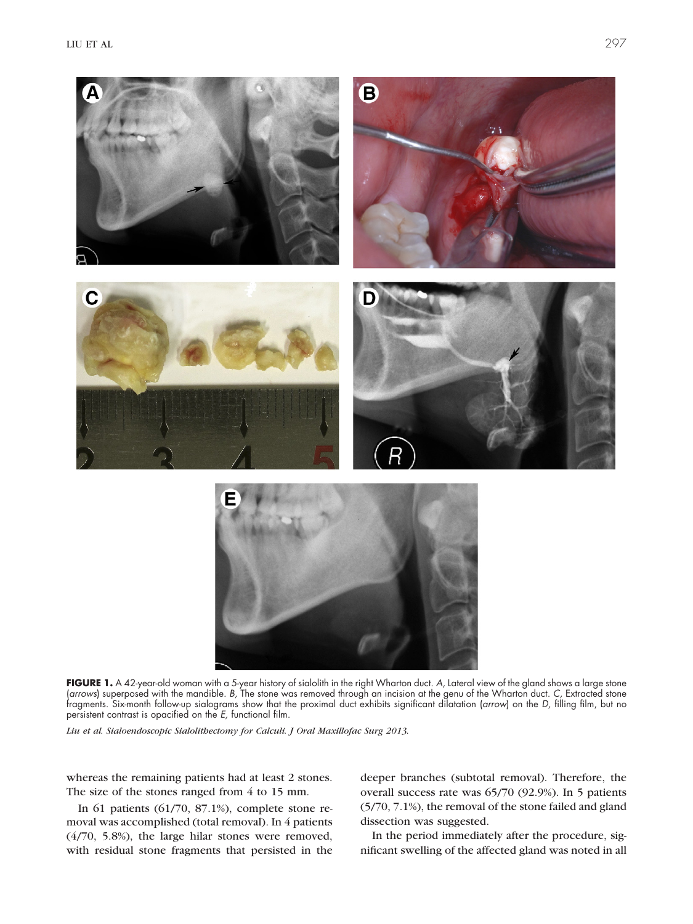

FIGURE 1. A 42-year-old woman with a 5-year history of sialolith in the right Wharton duct. A, Lateral view of the gland shows a large stone (*arrows*) superposed with the mandible. *B,* The stone was removed through an incision at the genu of the Wharton duct. *C,* Extracted stone fragments. Six-month follow-up sialograms show that the proximal duct exhibits significant dilatation (*arrow*) on the *D,* filling film, but no persistent contrast is opacified on the *E,* functional film.

<span id="page-2-0"></span>*Liu et al. Sialoendoscopic Sialolithectomy for Calculi. J Oral Maxillofac Surg 2013.*

whereas the remaining patients had at least 2 stones. The size of the stones ranged from 4 to 15 mm.

In 61 patients (61/70, 87.1%), complete stone removal was accomplished (total removal). In 4 patients (4/70, 5.8%), the large hilar stones were removed, with residual stone fragments that persisted in the

deeper branches (subtotal removal). Therefore, the overall success rate was 65/70 (92.9%). In 5 patients (5/70, 7.1%), the removal of the stone failed and gland dissection was suggested.

In the period immediately after the procedure, significant swelling of the affected gland was noted in all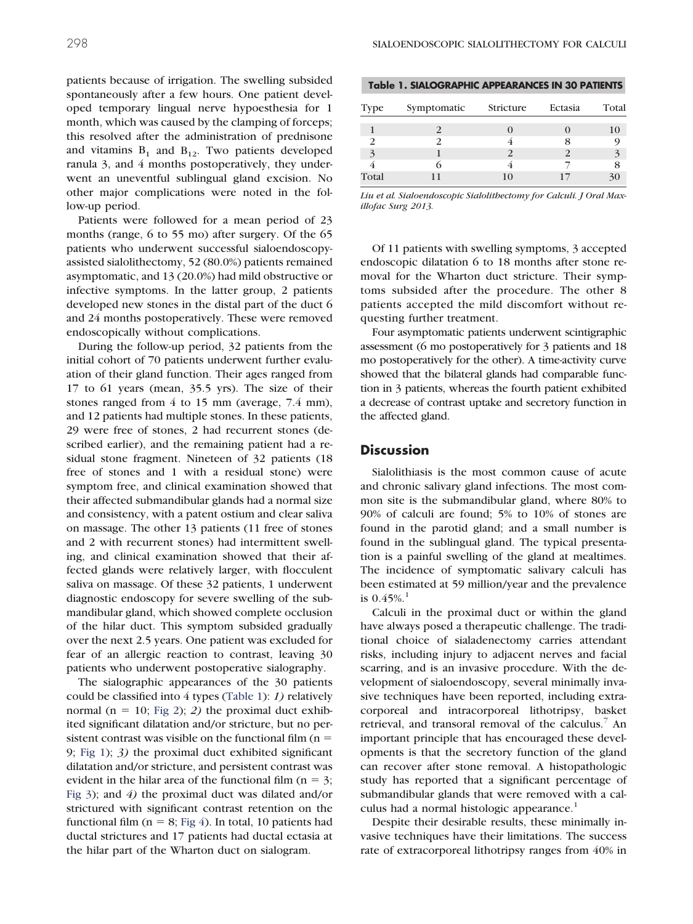patients because of irrigation. The swelling subsided spontaneously after a few hours. One patient developed temporary lingual nerve hypoesthesia for 1 month, which was caused by the clamping of forceps; this resolved after the administration of prednisone and vitamins  $B_1$  and  $B_{12}$ . Two patients developed ranula 3, and 4 months postoperatively, they underwent an uneventful sublingual gland excision. No other major complications were noted in the follow-up period.

Patients were followed for a mean period of 23 months (range, 6 to 55 mo) after surgery. Of the 65 patients who underwent successful sialoendoscopyassisted sialolithectomy, 52 (80.0%) patients remained asymptomatic, and 13 (20.0%) had mild obstructive or infective symptoms. In the latter group, 2 patients developed new stones in the distal part of the duct 6 and 24 months postoperatively. These were removed endoscopically without complications.

During the follow-up period, 32 patients from the initial cohort of 70 patients underwent further evaluation of their gland function. Their ages ranged from 17 to 61 years (mean, 35.5 yrs). The size of their stones ranged from 4 to 15 mm (average, 7.4 mm), and 12 patients had multiple stones. In these patients, 29 were free of stones, 2 had recurrent stones (described earlier), and the remaining patient had a residual stone fragment. Nineteen of 32 patients (18 free of stones and 1 with a residual stone) were symptom free, and clinical examination showed that their affected submandibular glands had a normal size and consistency, with a patent ostium and clear saliva on massage. The other 13 patients (11 free of stones and 2 with recurrent stones) had intermittent swelling, and clinical examination showed that their affected glands were relatively larger, with flocculent saliva on massage. Of these 32 patients, 1 underwent diagnostic endoscopy for severe swelling of the submandibular gland, which showed complete occlusion of the hilar duct. This symptom subsided gradually over the next 2.5 years. One patient was excluded for fear of an allergic reaction to contrast, leaving 30 patients who underwent postoperative sialography.

The sialographic appearances of the 30 patients could be classified into 4 types [\(Table 1\)](#page-3-0): *1)* relatively normal ( $n = 10$ ; [Fig 2\)](#page-4-0); 2) the proximal duct exhibited significant dilatation and/or stricture, but no persistent contrast was visible on the functional film ( $n =$ 9; [Fig 1\)](#page-2-0); *3)* the proximal duct exhibited significant dilatation and/or stricture, and persistent contrast was evident in the hilar area of the functional film ( $n = 3$ ; [Fig 3\)](#page-4-1); and *4)* the proximal duct was dilated and/or strictured with significant contrast retention on the functional film ( $n = 8$ ; [Fig 4\)](#page-5-0). In total, 10 patients had ductal strictures and 17 patients had ductal ectasia at the hilar part of the Wharton duct on sialogram.

<span id="page-3-0"></span>

|  |  |  |  |  | Table 1. SIALOGRAPHIC APPEARANCES IN 30 PATIENTS |
|--|--|--|--|--|--------------------------------------------------|
|--|--|--|--|--|--------------------------------------------------|

| Type  | Symptomatic | Stricture | Ectasia | Total |
|-------|-------------|-----------|---------|-------|
|       |             |           |         |       |
|       |             |           | x       |       |
| 3     |             |           |         |       |
|       |             |           |         |       |
| Total |             | 10        |         |       |

*Liu et al. Sialoendoscopic Sialolithectomy for Calculi. J Oral Maxillofac Surg 2013.*

Of 11 patients with swelling symptoms, 3 accepted endoscopic dilatation 6 to 18 months after stone removal for the Wharton duct stricture. Their symptoms subsided after the procedure. The other 8 patients accepted the mild discomfort without requesting further treatment.

Four asymptomatic patients underwent scintigraphic assessment (6 mo postoperatively for 3 patients and 18 mo postoperatively for the other). A time-activity curve showed that the bilateral glands had comparable function in 3 patients, whereas the fourth patient exhibited a decrease of contrast uptake and secretory function in the affected gland.

## **Discussion**

Sialolithiasis is the most common cause of acute and chronic salivary gland infections. The most common site is the submandibular gland, where 80% to 90% of calculi are found; 5% to 10% of stones are found in the parotid gland; and a small number is found in the sublingual gland. The typical presentation is a painful swelling of the gland at mealtimes. The incidence of symptomatic salivary calculi has been estimated at 59 million/year and the prevalence is  $0.45\%$ <sup>[1](#page-6-0)</sup>

Calculi in the proximal duct or within the gland have always posed a therapeutic challenge. The traditional choice of sialadenectomy carries attendant risks, including injury to adjacent nerves and facial scarring, and is an invasive procedure. With the development of sialoendoscopy, several minimally invasive techniques have been reported, including extracorporeal and intracorporeal lithotripsy, basket retrieval, and transoral removal of the calculus.<sup>7</sup> An important principle that has encouraged these developments is that the secretory function of the gland can recover after stone removal. A histopathologic study has reported that a significant percentage of submandibular glands that were removed with a calculus had a normal histologic appearance. $1$ 

Despite their desirable results, these minimally invasive techniques have their limitations. The success rate of extracorporeal lithotripsy ranges from 40% in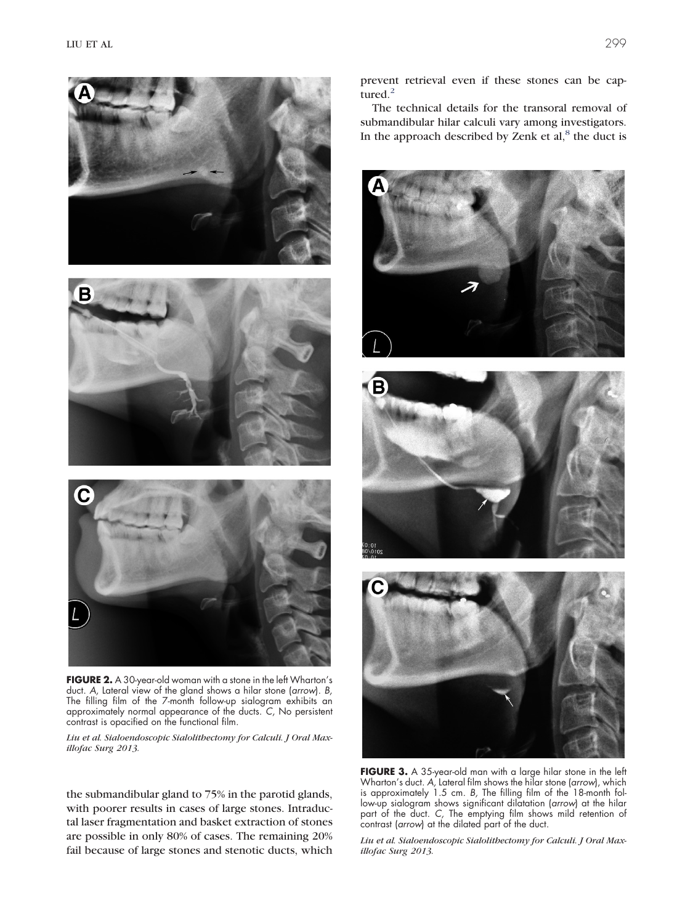

**FIGURE 2.** A 30-year-old woman with a stone in the left Wharton's duct. *A,* Lateral view of the gland shows a hilar stone (*arrow*). *B,* The filling film of the 7-month follow-up sialogram exhibits an approximately normal appearance of the ducts. *C,* No persistent contrast is opacified on the functional film.

<span id="page-4-0"></span>*Liu et al. Sialoendoscopic Sialolithectomy for Calculi. J Oral Maxillofac Surg 2013.*

the submandibular gland to 75% in the parotid glands, with poorer results in cases of large stones. Intraductal laser fragmentation and basket extraction of stones are possible in only 80% of cases. The remaining 20% fail because of large stones and stenotic ducts, which prevent retrieval even if these stones can be captured. $<sup>2</sup>$  $<sup>2</sup>$  $<sup>2</sup>$ </sup>

The technical details for the transoral removal of submandibular hilar calculi vary among investigators. In the approach described by Zenk et  $al$ ,<sup>[8](#page-6-6)</sup> the duct is







**FIGURE 3.** A 35-year-old man with a large hilar stone in the left Wharton's duct. *A,* Lateral film shows the hilar stone (*arrow*), which is approximately 1.5 cm. *B,* The filling film of the 18-month follow-up sialogram shows significant dilatation (*arrow*) at the hilar part of the duct. *C,* The emptying film shows mild retention of contrast (*arrow*) at the dilated part of the duct.

<span id="page-4-1"></span>*Liu et al. Sialoendoscopic Sialolithectomy for Calculi. J Oral Maxillofac Surg 2013.*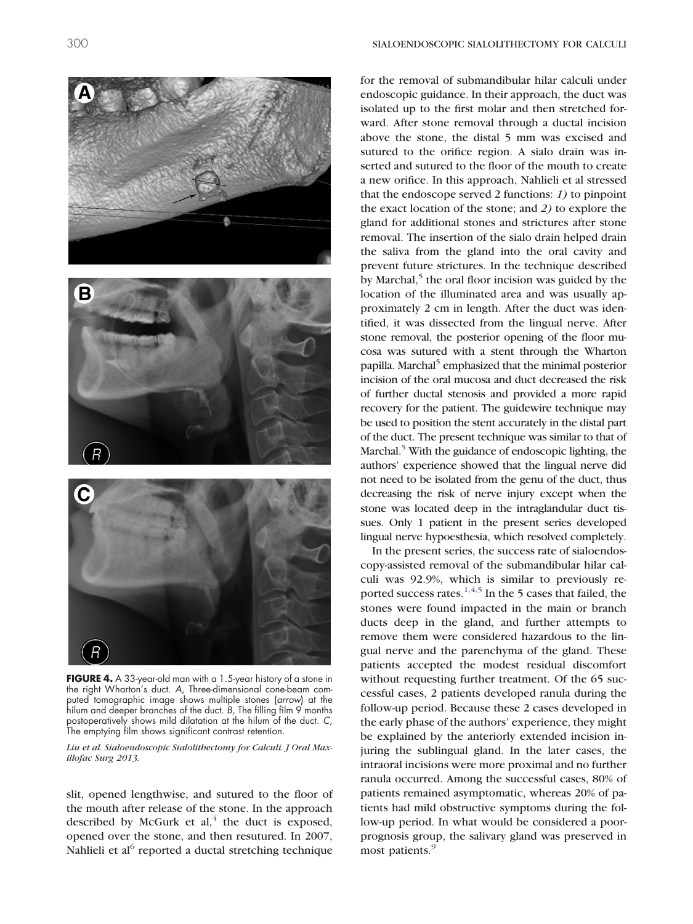

<span id="page-5-0"></span>the right Wharton's duct. *A,* Three-dimensional cone-beam computed tomographic image shows multiple stones (*arrow*) at the hilum and deeper branches of the duct. *B,* The filling film 9 months postoperatively shows mild dilatation at the hilum of the duct. *C,* The emptying film shows significant contrast retention.

*Liu et al. Sialoendoscopic Sialolithectomy for Calculi. J Oral Maxillofac Surg 2013.*

slit, opened lengthwise, and sutured to the floor of the mouth after release of the stone. In the approach described by McGurk et al, $4$  the duct is exposed, opened over the stone, and then resutured. In 2007, Nahlieli et al $<sup>6</sup>$  reported a ductal stretching technique</sup>

for the removal of submandibular hilar calculi under endoscopic guidance. In their approach, the duct was isolated up to the first molar and then stretched forward. After stone removal through a ductal incision above the stone, the distal 5 mm was excised and sutured to the orifice region. A sialo drain was inserted and sutured to the floor of the mouth to create a new orifice. In this approach, Nahlieli et al stressed that the endoscope served 2 functions: *1)* to pinpoint the exact location of the stone; and *2)* to explore the gland for additional stones and strictures after stone removal. The insertion of the sialo drain helped drain the saliva from the gland into the oral cavity and prevent future strictures. In the technique described by Marchal, $\delta$  the oral floor incision was guided by the location of the illuminated area and was usually approximately 2 cm in length. After the duct was identified, it was dissected from the lingual nerve. After stone removal, the posterior opening of the floor mucosa was sutured with a stent through the Wharton papilla. Marchal<sup>5</sup> emphasized that the minimal posterior incision of the oral mucosa and duct decreased the risk of further ductal stenosis and provided a more rapid recovery for the patient. The guidewire technique may be used to position the stent accurately in the distal part of the duct. The present technique was similar to that of Marchal. $5$  With the guidance of endoscopic lighting, the authors' experience showed that the lingual nerve did not need to be isolated from the genu of the duct, thus decreasing the risk of nerve injury except when the stone was located deep in the intraglandular duct tissues. Only 1 patient in the present series developed lingual nerve hypoesthesia, which resolved completely.

In the present series, the success rate of sialoendoscopy-assisted removal of the submandibular hilar calculi was 92.9%, which is similar to previously re-ported success rates.<sup>[1,4,5](#page-6-0)</sup> In the 5 cases that failed, the stones were found impacted in the main or branch ducts deep in the gland, and further attempts to remove them were considered hazardous to the lingual nerve and the parenchyma of the gland. These patients accepted the modest residual discomfort without requesting further treatment. Of the 65 successful cases, 2 patients developed ranula during the follow-up period. Because these 2 cases developed in the early phase of the authors' experience, they might be explained by the anteriorly extended incision injuring the sublingual gland. In the later cases, the intraoral incisions were more proximal and no further ranula occurred. Among the successful cases, 80% of patients remained asymptomatic, whereas 20% of patients had mild obstructive symptoms during the follow-up period. In what would be considered a poorprognosis group, the salivary gland was preserved in most patients.<sup>[9](#page-6-7)</sup>